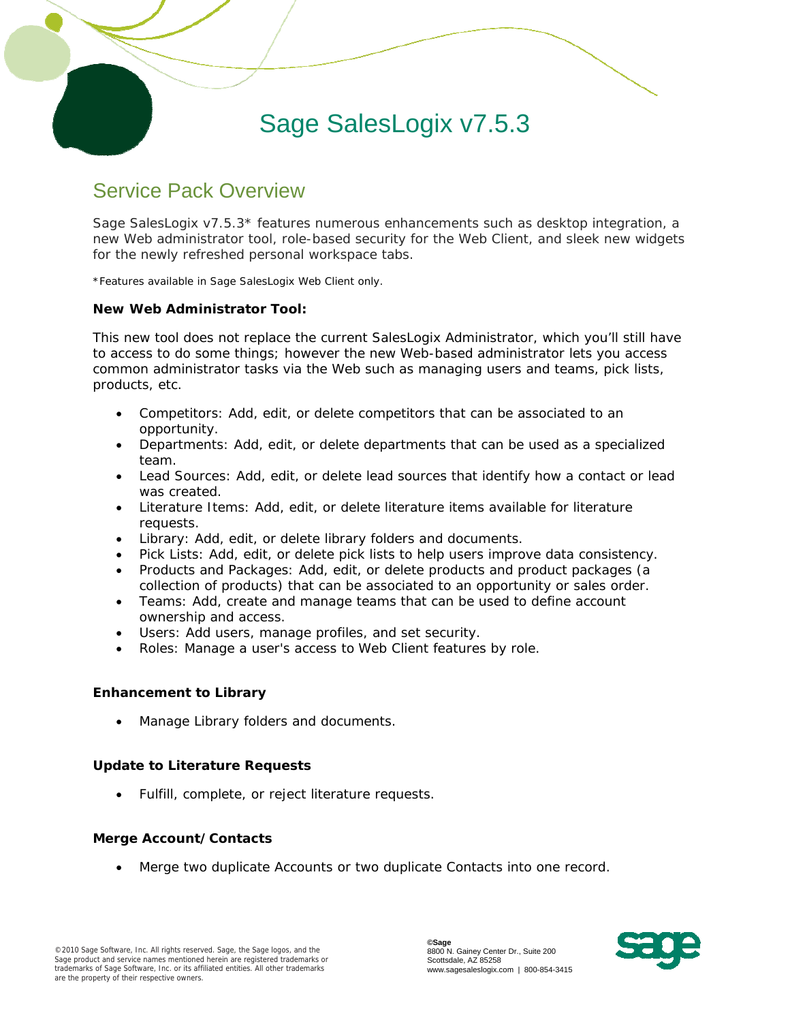# Sage SalesLogix v7.5.3

# Service Pack Overview

 $\overline{a}$ 

Sage SalesLogix v7.5.3\* features numerous enhancements such as desktop integration, a new Web administrator tool, role-based security for the Web Client, and sleek new widgets for the newly refreshed personal workspace tabs.

\*Features available in Sage SalesLogix Web Client only.

#### **New Web Administrator Tool:**

This new tool does not replace the current SalesLogix Administrator, which you'll still have to access to do some things; however the new Web-based administrator lets you access common administrator tasks via the Web such as managing users and teams, pick lists, products, etc.

- Competitors: Add, edit, or delete competitors that can be associated to an opportunity.
- Departments: Add, edit, or delete departments that can be used as a specialized team.
- Lead Sources: Add, edit, or delete lead sources that identify how a contact or lead was created.
- Literature Items: Add, edit, or delete literature items available for literature requests.
- Library: Add, edit, or delete library folders and documents.
- Pick Lists: Add, edit, or delete pick lists to help users improve data consistency.
- Products and Packages: Add, edit, or delete products and product packages (a collection of products) that can be associated to an opportunity or sales order.
- Teams: Add, create and manage teams that can be used to define account ownership and access.
- Users: Add users, manage profiles, and set security.
- Roles: Manage a user's access to Web Client features by role.

#### **Enhancement to Library**

• Manage Library folders and documents.

# **Update to Literature Requests**

Fulfill, complete, or reject literature requests.

#### **Merge Account/Contacts**

• Merge two duplicate Accounts or two duplicate Contacts into one record.

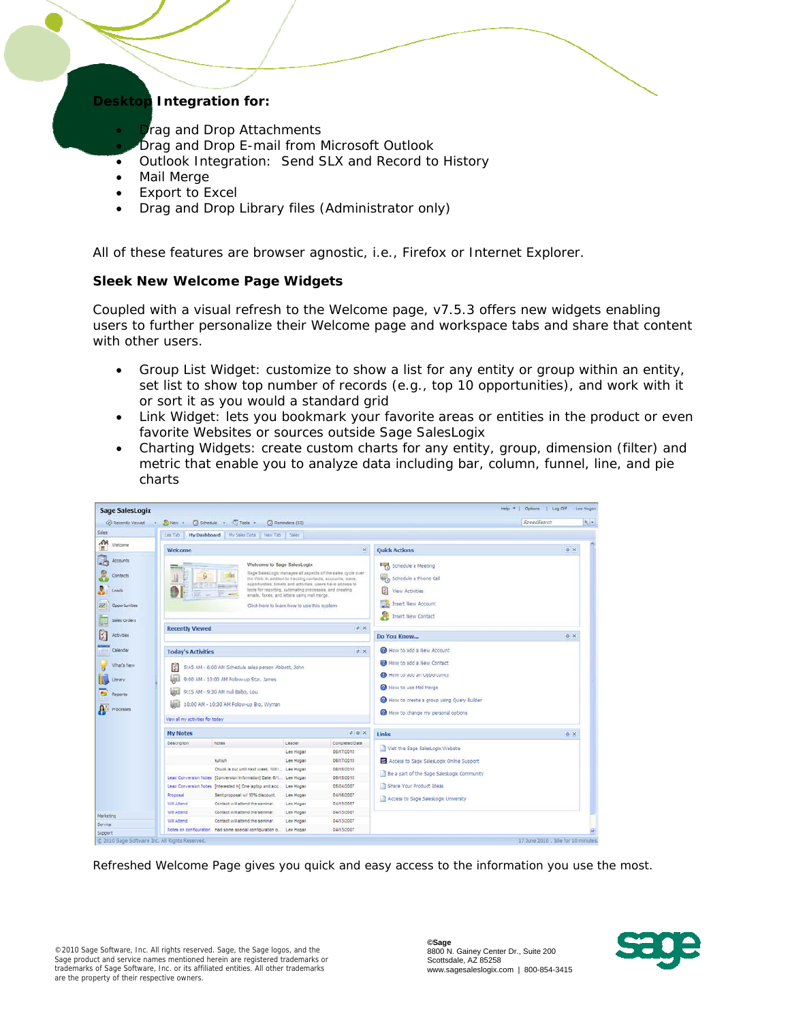# **Desktop Integration for:**

- **Drag and Drop Attachments**
- Drag and Drop E-mail from Microsoft Outlook
- Outlook Integration: Send SLX and Record to History
- Mail Merge

 $\overline{a}$ 

- Export to Excel
- Drag and Drop Library files (Administrator only)

All of these features are browser agnostic, i.e., Firefox or Internet Explorer.

# **Sleek New Welcome Page Widgets**

Coupled with a visual refresh to the Welcome page, v7.5.3 offers new widgets enabling users to further personalize their Welcome page and workspace tabs and share that content with other users.

- Group List Widget: customize to show a list for any entity or group within an entity, set list to show top number of records (e.g., top 10 opportunities), and work with it or sort it as you would a standard grid
- Link Widget: lets you bookmark your favorite areas or entities in the product or even favorite Websites or sources outside Sage SalesLogix
- Charting Widgets: create custom charts for any entity, group, dimension (filter) and metric that enable you to analyze data including bar, column, funnel, line, and pie charts



*Refreshed Welcome Page gives you quick and easy access to the information you use the most.*

©2010 Sage Software, Inc. All rights reserved. Sage, the Sage logos, and the Sage product and service names mentioned herein are registered trademarks or trademarks of Sage Software, Inc. or its affiliated entities. All other trademarks are the property of their respective owners.

**©Sage** 8800 N. Gainey Center Dr., Suite 200 Scottsdale, AZ 85258 www.sagesaleslogix.com | 800-854-3415